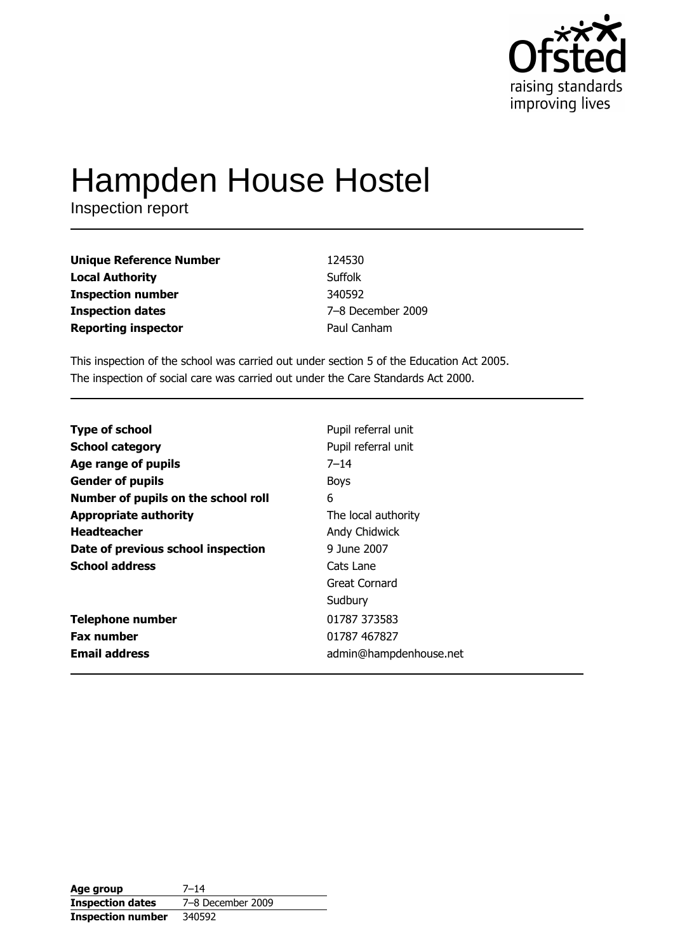

# Hampden House Hostel

Inspection report

| Unique Reference Number | 124530            |
|-------------------------|-------------------|
| Local Authority         | Suffolk           |
| Inspection number       | 340592            |
| <b>Inspection dates</b> | 7-8 December 2009 |
| Reporting inspector     | Paul Canham       |

This inspection of the school was carried out under section 5 of the Education Act 2005. The inspection of social care was carried out under the Care Standards Act 2000.

| <b>Type of school</b>               | Pupil referral unit    |
|-------------------------------------|------------------------|
| <b>School category</b>              | Pupil referral unit    |
| Age range of pupils                 | $7 - 14$               |
| <b>Gender of pupils</b>             | <b>Boys</b>            |
| Number of pupils on the school roll | 6                      |
| <b>Appropriate authority</b>        | The local authority    |
| <b>Headteacher</b>                  | Andy Chidwick          |
| Date of previous school inspection  | 9 June 2007            |
| <b>School address</b>               | Cats Lane              |
|                                     | Great Cornard          |
|                                     | Sudbury                |
| <b>Telephone number</b>             | 01787 373583           |
| <b>Fax number</b>                   | 01787 467827           |
| <b>Email address</b>                | admin@hampdenhouse.net |

| Age group                | $7 - 14$          |
|--------------------------|-------------------|
| <b>Inspection dates</b>  | 7-8 December 2009 |
| <b>Inspection number</b> | 340592            |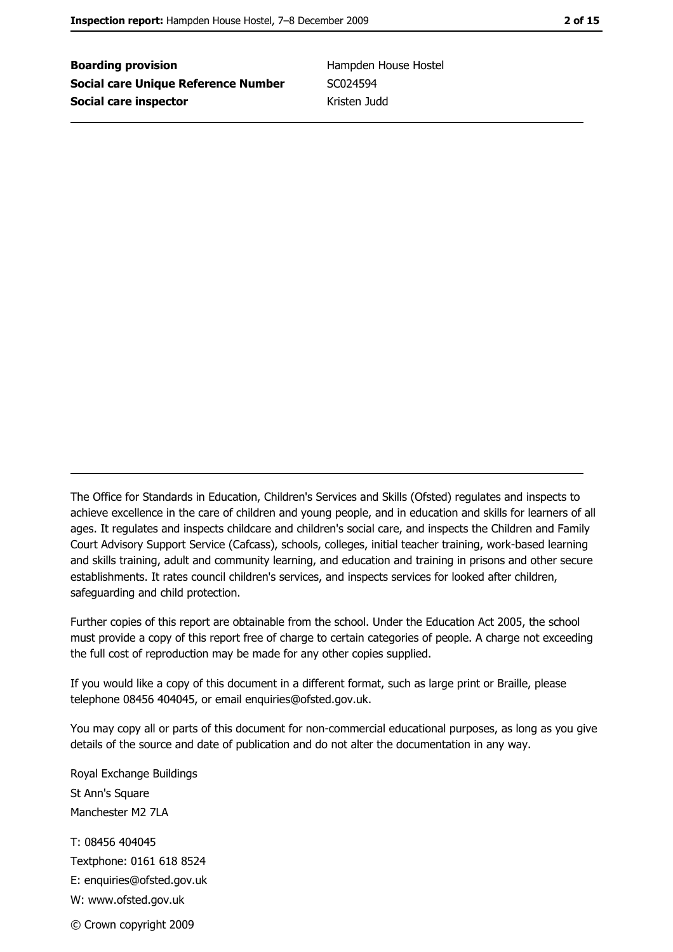**Boarding provision Social care Unique Reference Number** Social care inspector

Hampden House Hostel SC024594 Kristen Judd

The Office for Standards in Education, Children's Services and Skills (Ofsted) regulates and inspects to achieve excellence in the care of children and young people, and in education and skills for learners of all ages. It regulates and inspects childcare and children's social care, and inspects the Children and Family Court Advisory Support Service (Cafcass), schools, colleges, initial teacher training, work-based learning and skills training, adult and community learning, and education and training in prisons and other secure establishments. It rates council children's services, and inspects services for looked after children, safequarding and child protection.

Further copies of this report are obtainable from the school. Under the Education Act 2005, the school must provide a copy of this report free of charge to certain categories of people. A charge not exceeding the full cost of reproduction may be made for any other copies supplied.

If you would like a copy of this document in a different format, such as large print or Braille, please telephone 08456 404045, or email enquiries@ofsted.gov.uk.

You may copy all or parts of this document for non-commercial educational purposes, as long as you give details of the source and date of publication and do not alter the documentation in any way.

Royal Exchange Buildings St Ann's Square Manchester M2 7I A T: 08456 404045 Textphone: 0161 618 8524 E: enquiries@ofsted.gov.uk W: www.ofsted.gov.uk © Crown copyright 2009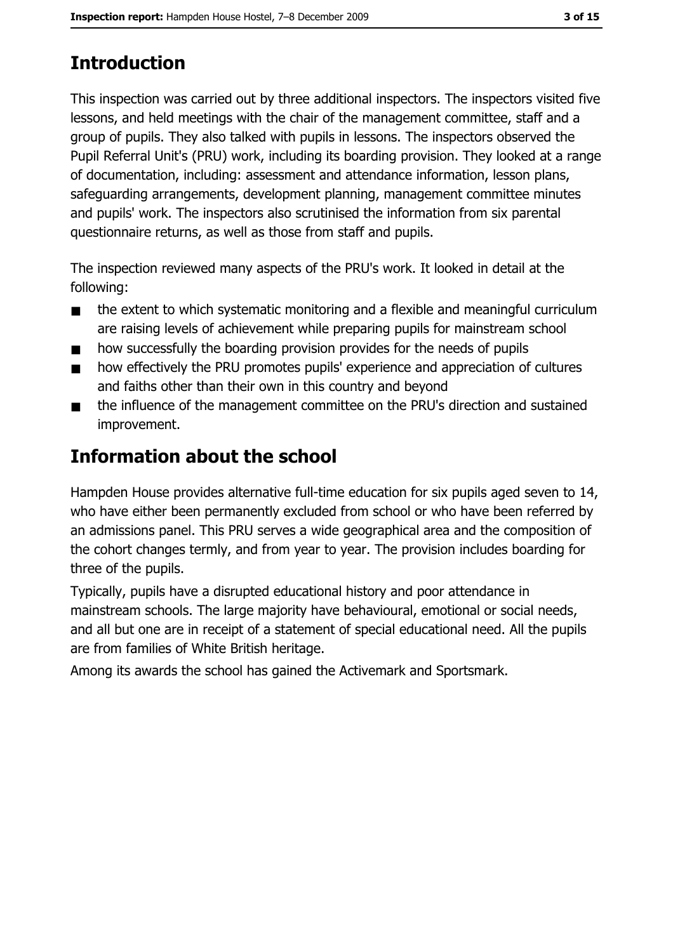# **Introduction**

This inspection was carried out by three additional inspectors. The inspectors visited five lessons, and held meetings with the chair of the management committee, staff and a group of pupils. They also talked with pupils in lessons. The inspectors observed the Pupil Referral Unit's (PRU) work, including its boarding provision. They looked at a range of documentation, including: assessment and attendance information, lesson plans, safeguarding arrangements, development planning, management committee minutes and pupils' work. The inspectors also scrutinised the information from six parental questionnaire returns, as well as those from staff and pupils.

The inspection reviewed many aspects of the PRU's work. It looked in detail at the following:

- the extent to which systematic monitoring and a flexible and meaningful curriculum  $\blacksquare$ are raising levels of achievement while preparing pupils for mainstream school
- how successfully the boarding provision provides for the needs of pupils  $\blacksquare$
- how effectively the PRU promotes pupils' experience and appreciation of cultures  $\blacksquare$ and faiths other than their own in this country and beyond
- the influence of the management committee on the PRU's direction and sustained  $\blacksquare$ improvement.

## **Information about the school**

Hampden House provides alternative full-time education for six pupils aged seven to 14, who have either been permanently excluded from school or who have been referred by an admissions panel. This PRU serves a wide geographical area and the composition of the cohort changes termly, and from year to year. The provision includes boarding for three of the pupils.

Typically, pupils have a disrupted educational history and poor attendance in mainstream schools. The large majority have behavioural, emotional or social needs, and all but one are in receipt of a statement of special educational need. All the pupils are from families of White British heritage.

Among its awards the school has gained the Activemark and Sportsmark.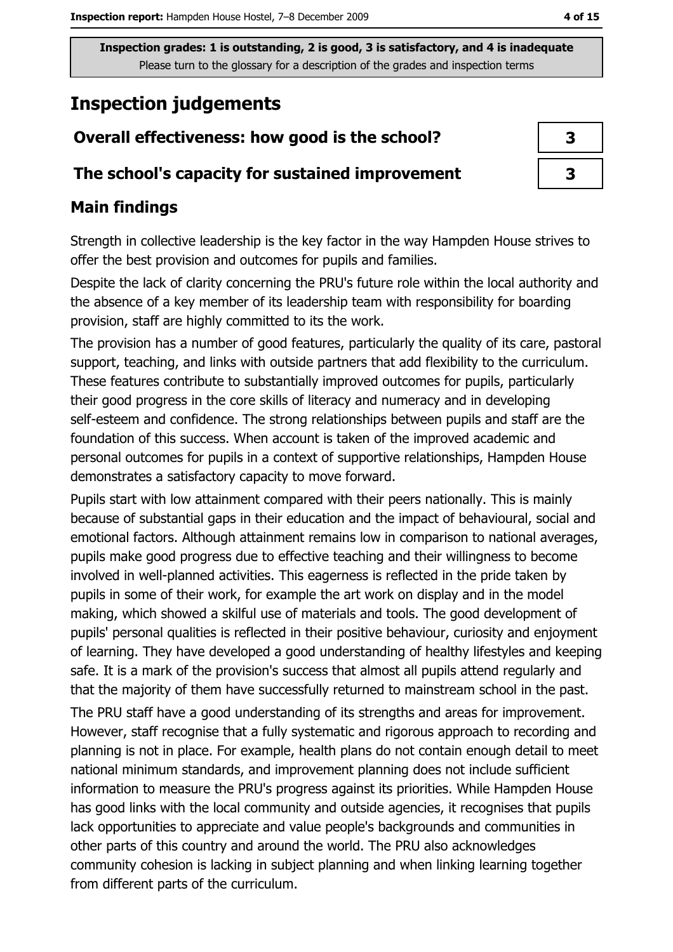## **Inspection judgements**

# Overall effectiveness: how good is the school?

#### The school's capacity for sustained improvement

#### **Main findings**

Strength in collective leadership is the key factor in the way Hampden House strives to offer the best provision and outcomes for pupils and families.

Despite the lack of clarity concerning the PRU's future role within the local authority and the absence of a key member of its leadership team with responsibility for boarding provision, staff are highly committed to its the work.

The provision has a number of good features, particularly the quality of its care, pastoral support, teaching, and links with outside partners that add flexibility to the curriculum. These features contribute to substantially improved outcomes for pupils, particularly their good progress in the core skills of literacy and numeracy and in developing self-esteem and confidence. The strong relationships between pupils and staff are the foundation of this success. When account is taken of the improved academic and personal outcomes for pupils in a context of supportive relationships, Hampden House demonstrates a satisfactory capacity to move forward.

Pupils start with low attainment compared with their peers nationally. This is mainly because of substantial gaps in their education and the impact of behavioural, social and emotional factors. Although attainment remains low in comparison to national averages, pupils make good progress due to effective teaching and their willingness to become involved in well-planned activities. This eagerness is reflected in the pride taken by pupils in some of their work, for example the art work on display and in the model making, which showed a skilful use of materials and tools. The good development of pupils' personal qualities is reflected in their positive behaviour, curiosity and enjoyment of learning. They have developed a good understanding of healthy lifestyles and keeping safe. It is a mark of the provision's success that almost all pupils attend regularly and that the majority of them have successfully returned to mainstream school in the past.

The PRU staff have a good understanding of its strengths and areas for improvement. However, staff recognise that a fully systematic and rigorous approach to recording and planning is not in place. For example, health plans do not contain enough detail to meet national minimum standards, and improvement planning does not include sufficient information to measure the PRU's progress against its priorities. While Hampden House has good links with the local community and outside agencies, it recognises that pupils lack opportunities to appreciate and value people's backgrounds and communities in other parts of this country and around the world. The PRU also acknowledges community cohesion is lacking in subject planning and when linking learning together from different parts of the curriculum.

3

 $\overline{\mathbf{3}}$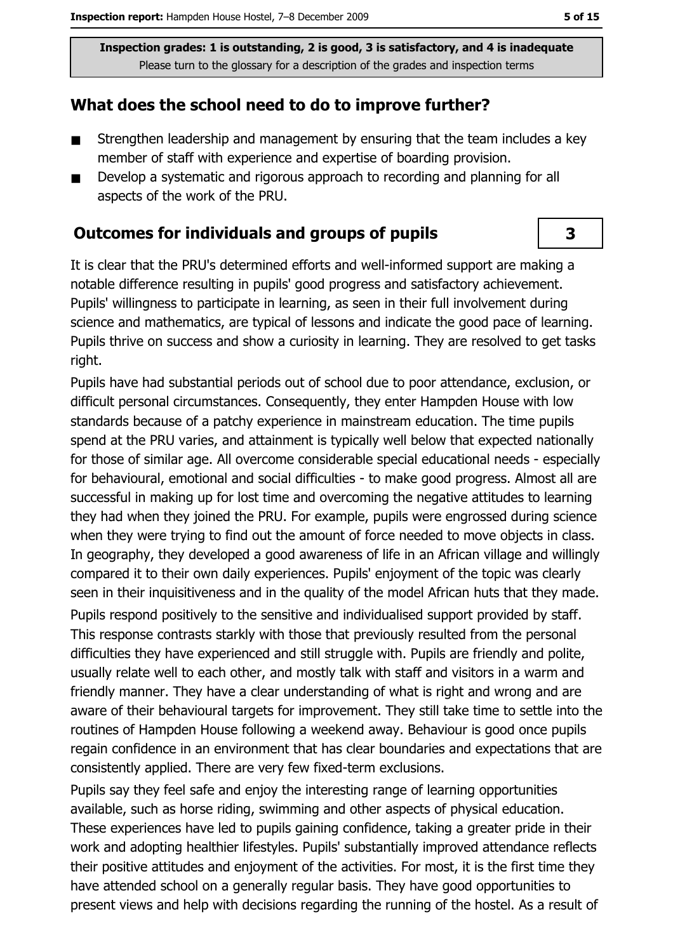#### What does the school need to do to improve further?

- Strengthen leadership and management by ensuring that the team includes a key  $\blacksquare$ member of staff with experience and expertise of boarding provision.
- Develop a systematic and rigorous approach to recording and planning for all  $\blacksquare$ aspects of the work of the PRU.

#### **Outcomes for individuals and groups of pupils**

It is clear that the PRU's determined efforts and well-informed support are making a notable difference resulting in pupils' good progress and satisfactory achievement. Pupils' willingness to participate in learning, as seen in their full involvement during science and mathematics, are typical of lessons and indicate the good pace of learning. Pupils thrive on success and show a curiosity in learning. They are resolved to get tasks right.

Pupils have had substantial periods out of school due to poor attendance, exclusion, or difficult personal circumstances. Consequently, they enter Hampden House with low standards because of a patchy experience in mainstream education. The time pupils spend at the PRU varies, and attainment is typically well below that expected nationally for those of similar age. All overcome considerable special educational needs - especially for behavioural, emotional and social difficulties - to make good progress. Almost all are successful in making up for lost time and overcoming the negative attitudes to learning they had when they joined the PRU. For example, pupils were engrossed during science when they were trying to find out the amount of force needed to move objects in class. In geography, they developed a good awareness of life in an African village and willingly compared it to their own daily experiences. Pupils' enjoyment of the topic was clearly seen in their inquisitiveness and in the quality of the model African huts that they made. Pupils respond positively to the sensitive and individualised support provided by staff. This response contrasts starkly with those that previously resulted from the personal difficulties they have experienced and still struggle with. Pupils are friendly and polite, usually relate well to each other, and mostly talk with staff and visitors in a warm and friendly manner. They have a clear understanding of what is right and wrong and are aware of their behavioural targets for improvement. They still take time to settle into the routines of Hampden House following a weekend away. Behaviour is good once pupils regain confidence in an environment that has clear boundaries and expectations that are consistently applied. There are very few fixed-term exclusions.

Pupils say they feel safe and enjoy the interesting range of learning opportunities available, such as horse riding, swimming and other aspects of physical education. These experiences have led to pupils gaining confidence, taking a greater pride in their work and adopting healthier lifestyles. Pupils' substantially improved attendance reflects their positive attitudes and enjoyment of the activities. For most, it is the first time they have attended school on a generally regular basis. They have good opportunities to present views and help with decisions regarding the running of the hostel. As a result of

3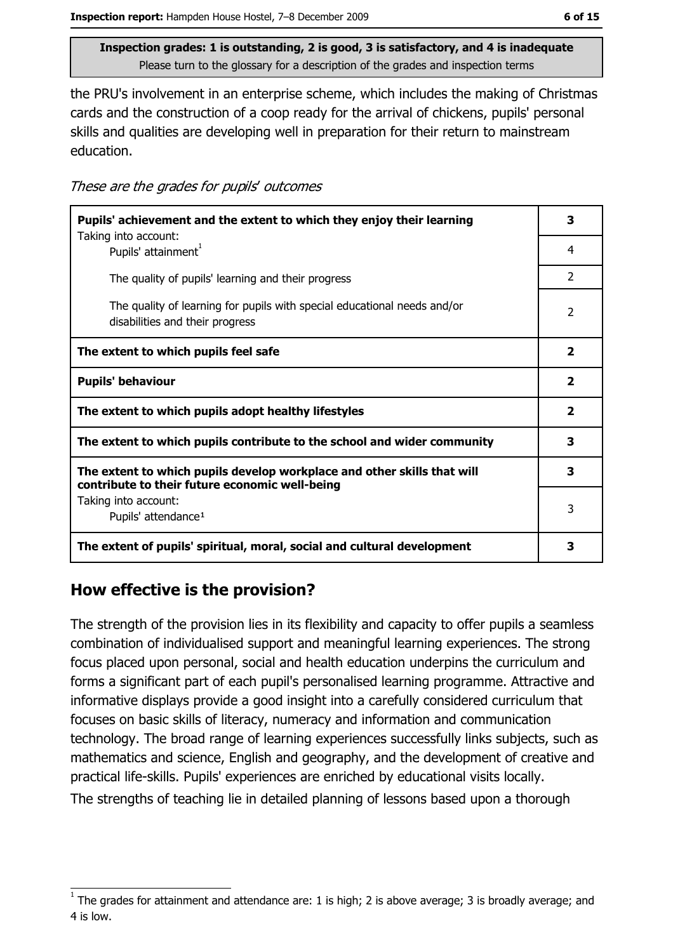the PRU's involvement in an enterprise scheme, which includes the making of Christmas cards and the construction of a coop ready for the arrival of chickens, pupils' personal skills and qualities are developing well in preparation for their return to mainstream education.

| These are the grades for pupils' outcomes |  |  |
|-------------------------------------------|--|--|
|-------------------------------------------|--|--|

| Pupils' achievement and the extent to which they enjoy their learning                                                     | 3                       |
|---------------------------------------------------------------------------------------------------------------------------|-------------------------|
| Taking into account:<br>Pupils' attainment <sup>1</sup>                                                                   | 4                       |
| The quality of pupils' learning and their progress                                                                        | $\mathcal{P}$           |
| The quality of learning for pupils with special educational needs and/or<br>disabilities and their progress               | 2                       |
| The extent to which pupils feel safe                                                                                      | $\overline{\mathbf{2}}$ |
| <b>Pupils' behaviour</b>                                                                                                  | $\overline{\mathbf{2}}$ |
| The extent to which pupils adopt healthy lifestyles                                                                       | $\overline{\mathbf{2}}$ |
| The extent to which pupils contribute to the school and wider community                                                   | 3                       |
| The extent to which pupils develop workplace and other skills that will<br>contribute to their future economic well-being | 3                       |
| Taking into account:<br>Pupils' attendance <sup>1</sup>                                                                   | 3                       |
| The extent of pupils' spiritual, moral, social and cultural development                                                   | 3                       |

## How effective is the provision?

The strength of the provision lies in its flexibility and capacity to offer pupils a seamless combination of individualised support and meaningful learning experiences. The strong focus placed upon personal, social and health education underpins the curriculum and forms a significant part of each pupil's personalised learning programme. Attractive and informative displays provide a good insight into a carefully considered curriculum that focuses on basic skills of literacy, numeracy and information and communication technology. The broad range of learning experiences successfully links subjects, such as mathematics and science, English and geography, and the development of creative and practical life-skills. Pupils' experiences are enriched by educational visits locally.

The strengths of teaching lie in detailed planning of lessons based upon a thorough

The grades for attainment and attendance are: 1 is high; 2 is above average; 3 is broadly average; and 4 is low.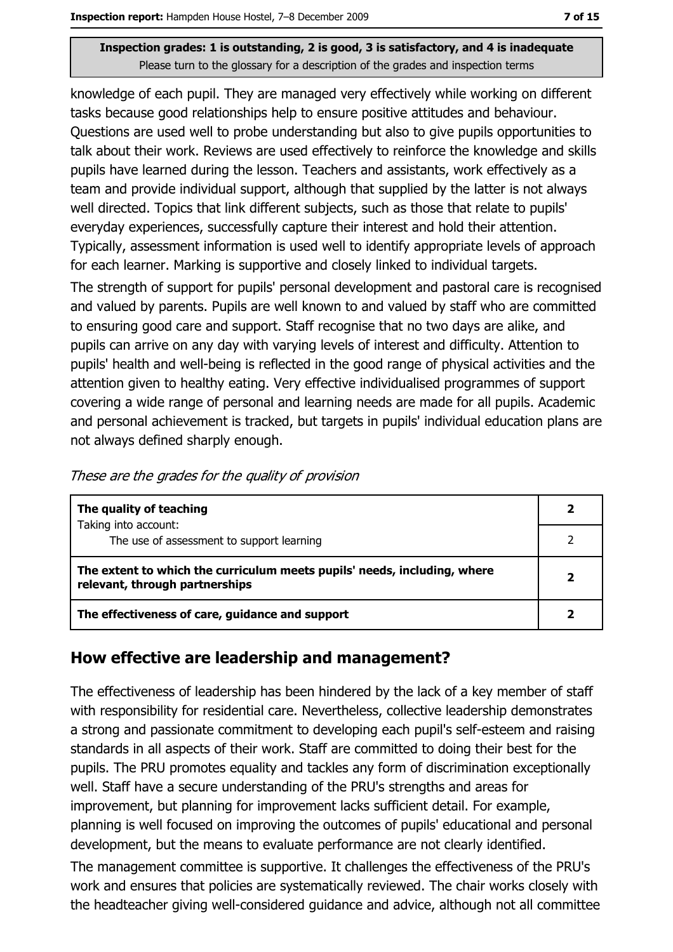knowledge of each pupil. They are managed very effectively while working on different tasks because good relationships help to ensure positive attitudes and behaviour. Ouestions are used well to probe understanding but also to give pupils opportunities to talk about their work. Reviews are used effectively to reinforce the knowledge and skills pupils have learned during the lesson. Teachers and assistants, work effectively as a team and provide individual support, although that supplied by the latter is not always well directed. Topics that link different subjects, such as those that relate to pupils' everyday experiences, successfully capture their interest and hold their attention. Typically, assessment information is used well to identify appropriate levels of approach for each learner. Marking is supportive and closely linked to individual targets.

The strength of support for pupils' personal development and pastoral care is recognised and valued by parents. Pupils are well known to and valued by staff who are committed to ensuring good care and support. Staff recognise that no two days are alike, and pupils can arrive on any day with varying levels of interest and difficulty. Attention to pupils' health and well-being is reflected in the good range of physical activities and the attention given to healthy eating. Very effective individualised programmes of support covering a wide range of personal and learning needs are made for all pupils. Academic and personal achievement is tracked, but targets in pupils' individual education plans are not always defined sharply enough.

| These are the grades for the quality of provision |
|---------------------------------------------------|
|---------------------------------------------------|

| The quality of teaching                                                                                    |  |
|------------------------------------------------------------------------------------------------------------|--|
| Taking into account:<br>The use of assessment to support learning                                          |  |
| The extent to which the curriculum meets pupils' needs, including, where<br>relevant, through partnerships |  |
| The effectiveness of care, guidance and support                                                            |  |

#### How effective are leadership and management?

The effectiveness of leadership has been hindered by the lack of a key member of staff with responsibility for residential care. Nevertheless, collective leadership demonstrates a strong and passionate commitment to developing each pupil's self-esteem and raising standards in all aspects of their work. Staff are committed to doing their best for the pupils. The PRU promotes equality and tackles any form of discrimination exceptionally well. Staff have a secure understanding of the PRU's strengths and areas for improvement, but planning for improvement lacks sufficient detail. For example, planning is well focused on improving the outcomes of pupils' educational and personal development, but the means to evaluate performance are not clearly identified.

The management committee is supportive. It challenges the effectiveness of the PRU's work and ensures that policies are systematically reviewed. The chair works closely with the headteacher giving well-considered guidance and advice, although not all committee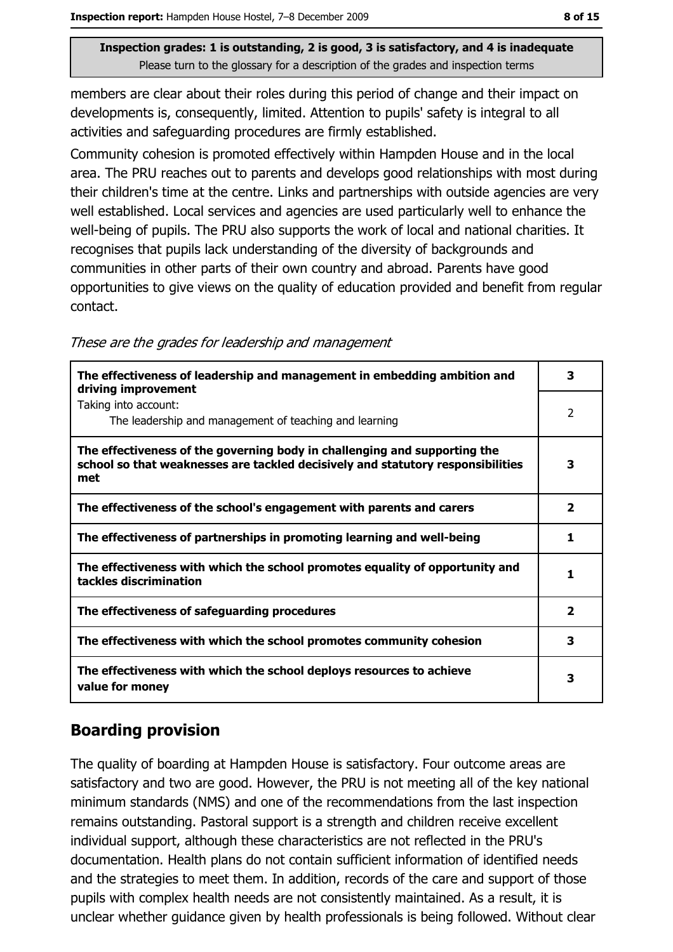members are clear about their roles during this period of change and their impact on developments is, consequently, limited. Attention to pupils' safety is integral to all activities and safeguarding procedures are firmly established.

Community cohesion is promoted effectively within Hampden House and in the local area. The PRU reaches out to parents and develops good relationships with most during their children's time at the centre. Links and partnerships with outside agencies are very well established. Local services and agencies are used particularly well to enhance the well-being of pupils. The PRU also supports the work of local and national charities. It recognises that pupils lack understanding of the diversity of backgrounds and communities in other parts of their own country and abroad. Parents have good opportunities to give views on the quality of education provided and benefit from regular contact.

| These are the grades for leadership and management |  |  |  |
|----------------------------------------------------|--|--|--|
|                                                    |  |  |  |

| The effectiveness of leadership and management in embedding ambition and<br>driving improvement                                                                     | 3                       |
|---------------------------------------------------------------------------------------------------------------------------------------------------------------------|-------------------------|
| Taking into account:<br>The leadership and management of teaching and learning                                                                                      | 2                       |
| The effectiveness of the governing body in challenging and supporting the<br>school so that weaknesses are tackled decisively and statutory responsibilities<br>met | 3                       |
| The effectiveness of the school's engagement with parents and carers                                                                                                | $\overline{2}$          |
| The effectiveness of partnerships in promoting learning and well-being                                                                                              | 1                       |
| The effectiveness with which the school promotes equality of opportunity and<br>tackles discrimination                                                              | 1                       |
| The effectiveness of safeguarding procedures                                                                                                                        | $\overline{\mathbf{2}}$ |
| The effectiveness with which the school promotes community cohesion                                                                                                 | 3                       |
| The effectiveness with which the school deploys resources to achieve<br>value for money                                                                             | 3                       |

## **Boarding provision**

The quality of boarding at Hampden House is satisfactory. Four outcome areas are satisfactory and two are good. However, the PRU is not meeting all of the key national minimum standards (NMS) and one of the recommendations from the last inspection remains outstanding. Pastoral support is a strength and children receive excellent individual support, although these characteristics are not reflected in the PRU's documentation. Health plans do not contain sufficient information of identified needs and the strategies to meet them. In addition, records of the care and support of those pupils with complex health needs are not consistently maintained. As a result, it is unclear whether guidance given by health professionals is being followed. Without clear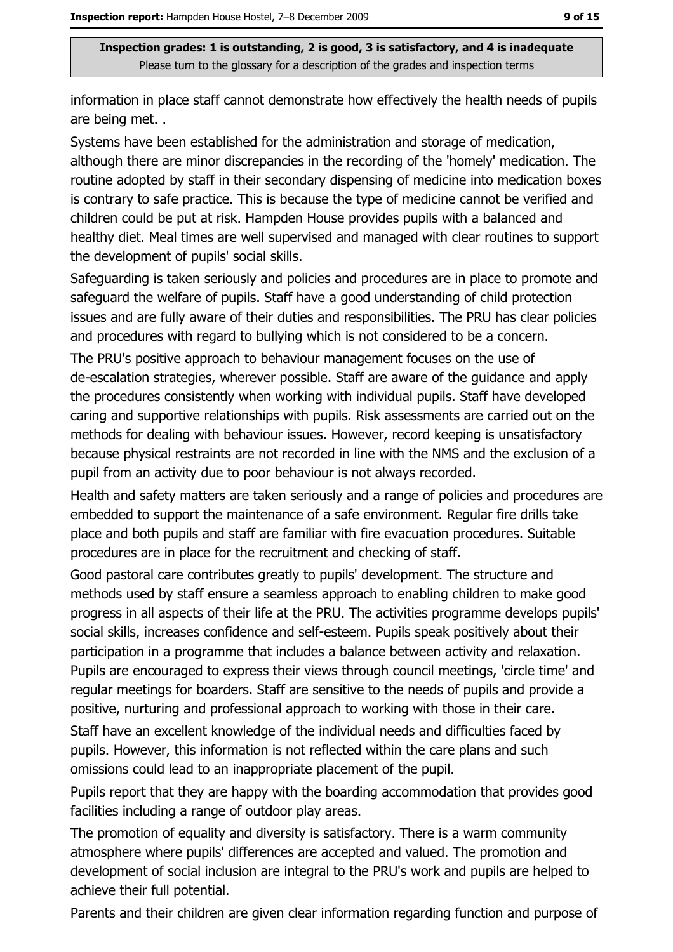information in place staff cannot demonstrate how effectively the health needs of pupils are being met..

Systems have been established for the administration and storage of medication, although there are minor discrepancies in the recording of the 'homely' medication. The routine adopted by staff in their secondary dispensing of medicine into medication boxes is contrary to safe practice. This is because the type of medicine cannot be verified and children could be put at risk. Hampden House provides pupils with a balanced and healthy diet. Meal times are well supervised and managed with clear routines to support the development of pupils' social skills.

Safeguarding is taken seriously and policies and procedures are in place to promote and safeguard the welfare of pupils. Staff have a good understanding of child protection issues and are fully aware of their duties and responsibilities. The PRU has clear policies and procedures with regard to bullying which is not considered to be a concern.

The PRU's positive approach to behaviour management focuses on the use of de-escalation strategies, wherever possible. Staff are aware of the guidance and apply the procedures consistently when working with individual pupils. Staff have developed caring and supportive relationships with pupils. Risk assessments are carried out on the methods for dealing with behaviour issues. However, record keeping is unsatisfactory because physical restraints are not recorded in line with the NMS and the exclusion of a pupil from an activity due to poor behaviour is not always recorded.

Health and safety matters are taken seriously and a range of policies and procedures are embedded to support the maintenance of a safe environment. Regular fire drills take place and both pupils and staff are familiar with fire evacuation procedures. Suitable procedures are in place for the recruitment and checking of staff.

Good pastoral care contributes greatly to pupils' development. The structure and methods used by staff ensure a seamless approach to enabling children to make good progress in all aspects of their life at the PRU. The activities programme develops pupils' social skills, increases confidence and self-esteem. Pupils speak positively about their participation in a programme that includes a balance between activity and relaxation. Pupils are encouraged to express their views through council meetings, 'circle time' and regular meetings for boarders. Staff are sensitive to the needs of pupils and provide a positive, nurturing and professional approach to working with those in their care.

Staff have an excellent knowledge of the individual needs and difficulties faced by pupils. However, this information is not reflected within the care plans and such omissions could lead to an inappropriate placement of the pupil.

Pupils report that they are happy with the boarding accommodation that provides good facilities including a range of outdoor play areas.

The promotion of equality and diversity is satisfactory. There is a warm community atmosphere where pupils' differences are accepted and valued. The promotion and development of social inclusion are integral to the PRU's work and pupils are helped to achieve their full potential.

Parents and their children are given clear information regarding function and purpose of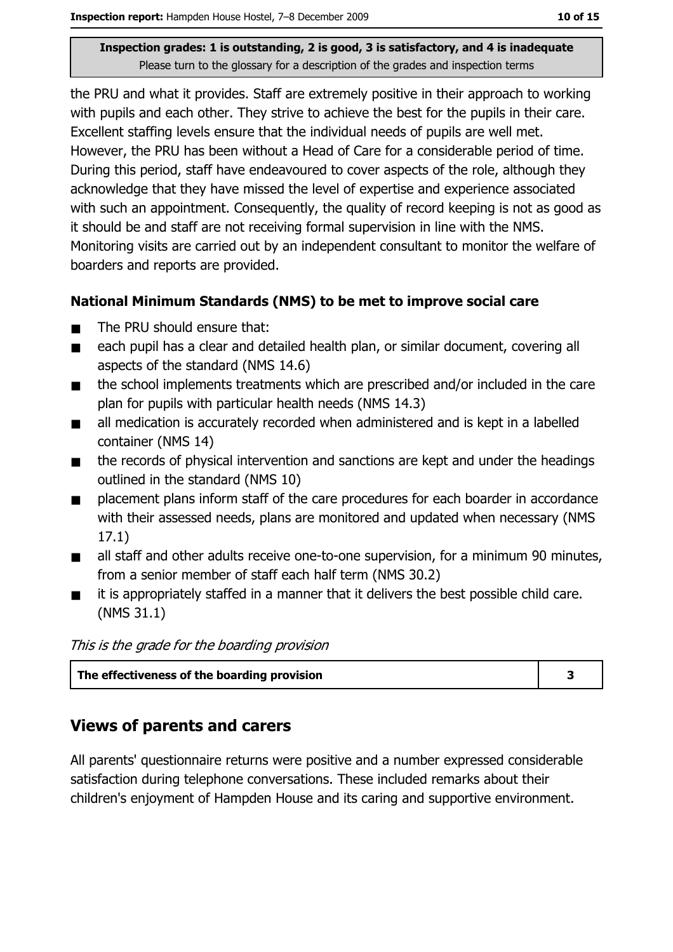the PRU and what it provides. Staff are extremely positive in their approach to working with pupils and each other. They strive to achieve the best for the pupils in their care. Excellent staffing levels ensure that the individual needs of pupils are well met. However, the PRU has been without a Head of Care for a considerable period of time. During this period, staff have endeavoured to cover aspects of the role, although they acknowledge that they have missed the level of expertise and experience associated with such an appointment. Consequently, the quality of record keeping is not as good as it should be and staff are not receiving formal supervision in line with the NMS. Monitoring visits are carried out by an independent consultant to monitor the welfare of boarders and reports are provided.

#### National Minimum Standards (NMS) to be met to improve social care

- The PRU should ensure that:  $\blacksquare$
- each pupil has a clear and detailed health plan, or similar document, covering all  $\blacksquare$ aspects of the standard (NMS 14.6)
- the school implements treatments which are prescribed and/or included in the care  $\blacksquare$ plan for pupils with particular health needs (NMS 14.3)
- all medication is accurately recorded when administered and is kept in a labelled  $\blacksquare$ container (NMS 14)
- the records of physical intervention and sanctions are kept and under the headings  $\blacksquare$ outlined in the standard (NMS 10)
- placement plans inform staff of the care procedures for each boarder in accordance  $\blacksquare$ with their assessed needs, plans are monitored and updated when necessary (NMS  $17.1)$
- all staff and other adults receive one-to-one supervision, for a minimum 90 minutes,  $\blacksquare$ from a senior member of staff each half term (NMS 30.2)
- it is appropriately staffed in a manner that it delivers the best possible child care.  $\blacksquare$  $(NMS 31.1)$

This is the grade for the boarding provision

| The effectiveness of the boarding provision |  |
|---------------------------------------------|--|
|                                             |  |

#### **Views of parents and carers**

All parents' questionnaire returns were positive and a number expressed considerable satisfaction during telephone conversations. These included remarks about their children's enjoyment of Hampden House and its caring and supportive environment.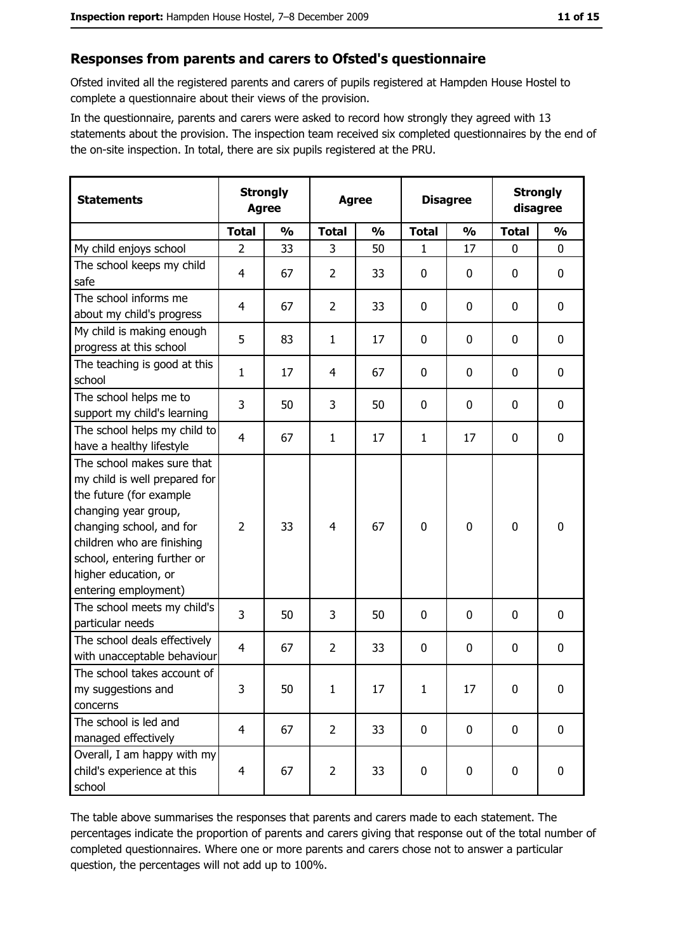#### Responses from parents and carers to Ofsted's questionnaire

Ofsted invited all the registered parents and carers of pupils registered at Hampden House Hostel to complete a questionnaire about their views of the provision.

In the questionnaire, parents and carers were asked to record how strongly they agreed with 13 statements about the provision. The inspection team received six completed questionnaires by the end of the on-site inspection. In total, there are six pupils registered at the PRU.

| <b>Statements</b>                                                                                                                                                                                                                                       |                | <b>Strongly</b><br><b>Agree</b> |                | <b>Disagree</b> |              | <b>Agree</b>  |              | <b>Strongly</b><br>disagree |  |
|---------------------------------------------------------------------------------------------------------------------------------------------------------------------------------------------------------------------------------------------------------|----------------|---------------------------------|----------------|-----------------|--------------|---------------|--------------|-----------------------------|--|
|                                                                                                                                                                                                                                                         | <b>Total</b>   | $\frac{0}{0}$                   | <b>Total</b>   | $\frac{0}{0}$   | <b>Total</b> | $\frac{0}{0}$ | <b>Total</b> | $\frac{0}{0}$               |  |
| My child enjoys school                                                                                                                                                                                                                                  | $\overline{2}$ | 33                              | 3              | 50              | 1            | 17            | $\mathbf{0}$ | 0                           |  |
| The school keeps my child<br>safe                                                                                                                                                                                                                       | 4              | 67                              | $\overline{2}$ | 33              | $\bf{0}$     | 0             | 0            | $\mathbf 0$                 |  |
| The school informs me<br>about my child's progress                                                                                                                                                                                                      | 4              | 67                              | $\overline{2}$ | 33              | $\mathbf 0$  | 0             | 0            | 0                           |  |
| My child is making enough<br>progress at this school                                                                                                                                                                                                    | 5              | 83                              | $\mathbf{1}$   | 17              | $\mathbf 0$  | 0             | 0            | $\mathbf 0$                 |  |
| The teaching is good at this<br>school                                                                                                                                                                                                                  | 1              | 17                              | 4              | 67              | $\mathbf 0$  | 0             | 0            | $\mathbf 0$                 |  |
| The school helps me to<br>support my child's learning                                                                                                                                                                                                   | 3              | 50                              | 3              | 50              | $\mathbf 0$  | 0             | 0            | $\mathbf 0$                 |  |
| The school helps my child to<br>have a healthy lifestyle                                                                                                                                                                                                | $\overline{4}$ | 67                              | $\mathbf{1}$   | 17              | $\mathbf{1}$ | 17            | 0            | $\mathbf 0$                 |  |
| The school makes sure that<br>my child is well prepared for<br>the future (for example<br>changing year group,<br>changing school, and for<br>children who are finishing<br>school, entering further or<br>higher education, or<br>entering employment) | $\overline{2}$ | 33                              | $\overline{4}$ | 67              | $\mathbf 0$  | 0             | 0            | $\mathbf 0$                 |  |
| The school meets my child's<br>particular needs                                                                                                                                                                                                         | 3              | 50                              | 3              | 50              | $\mathbf 0$  | $\Omega$      | 0            | $\mathbf 0$                 |  |
| The school deals effectively<br>with unacceptable behaviour                                                                                                                                                                                             | $\overline{4}$ | 67                              | $\overline{2}$ | 33              | $\mathbf 0$  | 0             | 0            | $\bf{0}$                    |  |
| The school takes account of<br>my suggestions and<br>concerns                                                                                                                                                                                           | 3              | 50                              | $\mathbf{1}$   | 17              | $\mathbf{1}$ | 17            | 0            | $\bf{0}$                    |  |
| The school is led and<br>managed effectively                                                                                                                                                                                                            | $\overline{4}$ | 67                              | $\overline{2}$ | 33              | $\mathbf 0$  | 0             | $\mathbf 0$  | $\mathbf 0$                 |  |
| Overall, I am happy with my<br>child's experience at this<br>school                                                                                                                                                                                     | $\overline{4}$ | 67                              | $\overline{2}$ | 33              | $\mathbf 0$  | 0             | $\mathbf 0$  | 0                           |  |

The table above summarises the responses that parents and carers made to each statement. The percentages indicate the proportion of parents and carers giving that response out of the total number of completed questionnaires. Where one or more parents and carers chose not to answer a particular question, the percentages will not add up to 100%.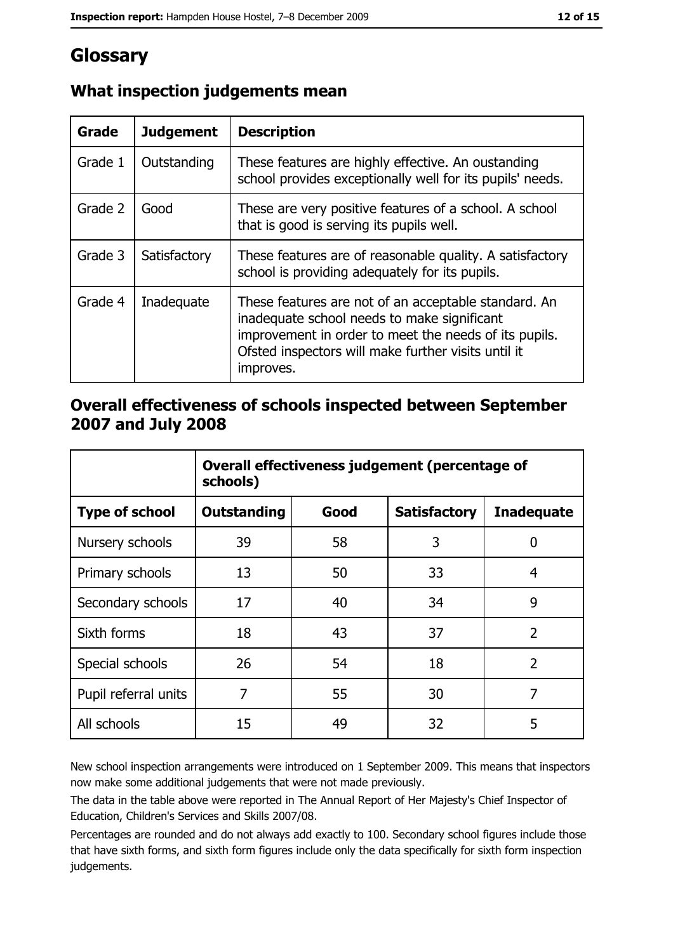## Glossary

| Grade   | <b>Judgement</b> | <b>Description</b>                                                                                                                                                                                                               |
|---------|------------------|----------------------------------------------------------------------------------------------------------------------------------------------------------------------------------------------------------------------------------|
| Grade 1 | Outstanding      | These features are highly effective. An oustanding<br>school provides exceptionally well for its pupils' needs.                                                                                                                  |
| Grade 2 | Good             | These are very positive features of a school. A school<br>that is good is serving its pupils well.                                                                                                                               |
| Grade 3 | Satisfactory     | These features are of reasonable quality. A satisfactory<br>school is providing adequately for its pupils.                                                                                                                       |
| Grade 4 | Inadequate       | These features are not of an acceptable standard. An<br>inadequate school needs to make significant<br>improvement in order to meet the needs of its pupils.<br>Ofsted inspectors will make further visits until it<br>improves. |

## What inspection judgements mean

#### Overall effectiveness of schools inspected between September 2007 and July 2008

|                       | Overall effectiveness judgement (percentage of<br>schools) |      |                     |                   |  |
|-----------------------|------------------------------------------------------------|------|---------------------|-------------------|--|
| <b>Type of school</b> | <b>Outstanding</b>                                         | Good | <b>Satisfactory</b> | <b>Inadequate</b> |  |
| Nursery schools       | 39                                                         | 58   | 3                   | 0                 |  |
| Primary schools       | 13                                                         | 50   | 33                  | 4                 |  |
| Secondary schools     | 17                                                         | 40   | 34                  | 9                 |  |
| Sixth forms           | 18                                                         | 43   | 37                  | $\overline{2}$    |  |
| Special schools       | 26                                                         | 54   | 18                  | $\overline{2}$    |  |
| Pupil referral units  | 7                                                          | 55   | 30                  | 7                 |  |
| All schools           | 15                                                         | 49   | 32                  | 5                 |  |

New school inspection arrangements were introduced on 1 September 2009. This means that inspectors now make some additional judgements that were not made previously.

The data in the table above were reported in The Annual Report of Her Majesty's Chief Inspector of Education, Children's Services and Skills 2007/08.

Percentages are rounded and do not always add exactly to 100. Secondary school figures include those that have sixth forms, and sixth form figures include only the data specifically for sixth form inspection judgements.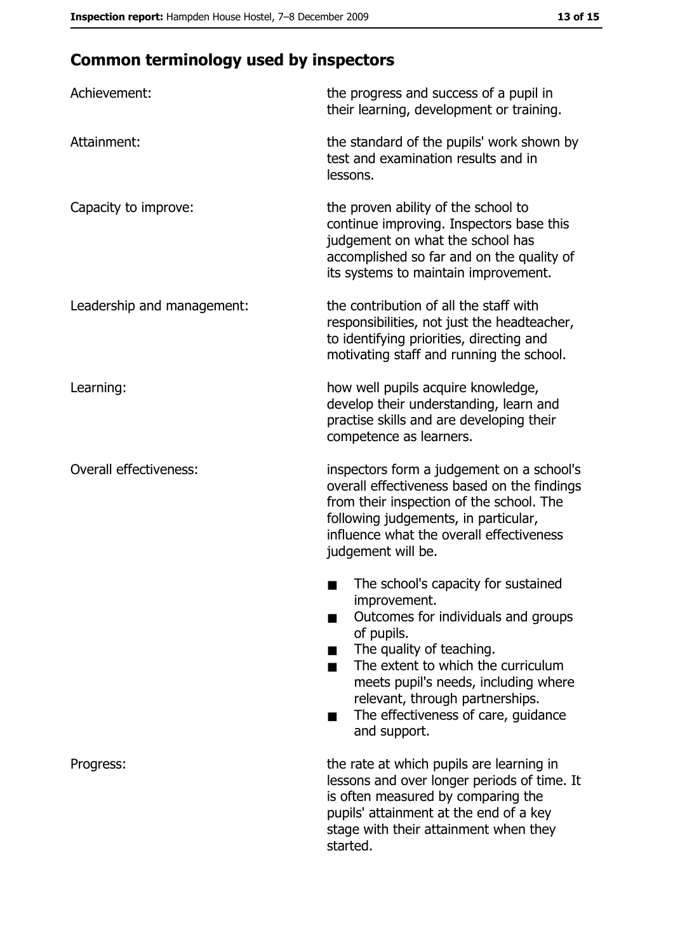## **Common terminology used by inspectors**

| Achievement:                  | the progress and success of a pupil in<br>their learning, development or training.                                                                                                                                                                                                                           |  |  |
|-------------------------------|--------------------------------------------------------------------------------------------------------------------------------------------------------------------------------------------------------------------------------------------------------------------------------------------------------------|--|--|
| Attainment:                   | the standard of the pupils' work shown by<br>test and examination results and in<br>lessons.                                                                                                                                                                                                                 |  |  |
| Capacity to improve:          | the proven ability of the school to<br>continue improving. Inspectors base this<br>judgement on what the school has<br>accomplished so far and on the quality of<br>its systems to maintain improvement.                                                                                                     |  |  |
| Leadership and management:    | the contribution of all the staff with<br>responsibilities, not just the headteacher,<br>to identifying priorities, directing and<br>motivating staff and running the school.                                                                                                                                |  |  |
| Learning:                     | how well pupils acquire knowledge,<br>develop their understanding, learn and<br>practise skills and are developing their<br>competence as learners.                                                                                                                                                          |  |  |
| <b>Overall effectiveness:</b> | inspectors form a judgement on a school's<br>overall effectiveness based on the findings<br>from their inspection of the school. The<br>following judgements, in particular,<br>influence what the overall effectiveness<br>judgement will be.                                                               |  |  |
|                               | The school's capacity for sustained<br>improvement.<br>Outcomes for individuals and groups<br>of pupils.<br>The quality of teaching.<br>The extent to which the curriculum<br>meets pupil's needs, including where<br>relevant, through partnerships.<br>The effectiveness of care, guidance<br>and support. |  |  |
| Progress:                     | the rate at which pupils are learning in<br>lessons and over longer periods of time. It<br>is often measured by comparing the<br>pupils' attainment at the end of a key<br>stage with their attainment when they<br>started.                                                                                 |  |  |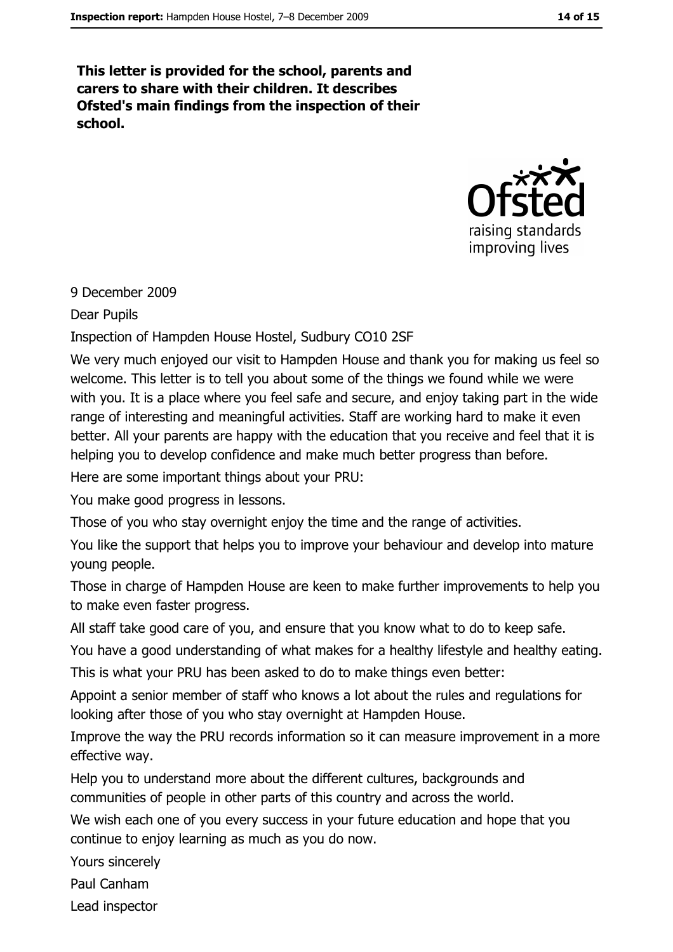This letter is provided for the school, parents and carers to share with their children. It describes Ofsted's main findings from the inspection of their school.



#### 9 December 2009

**Dear Pupils** 

#### Inspection of Hampden House Hostel, Sudbury CO10 2SF

We very much enjoyed our visit to Hampden House and thank you for making us feel so welcome. This letter is to tell you about some of the things we found while we were with you. It is a place where you feel safe and secure, and enjoy taking part in the wide range of interesting and meaningful activities. Staff are working hard to make it even better. All your parents are happy with the education that you receive and feel that it is helping you to develop confidence and make much better progress than before.

Here are some important things about your PRU:

You make good progress in lessons.

Those of you who stay overnight enjoy the time and the range of activities.

You like the support that helps you to improve your behaviour and develop into mature young people.

Those in charge of Hampden House are keen to make further improvements to help you to make even faster progress.

All staff take good care of you, and ensure that you know what to do to keep safe.

You have a good understanding of what makes for a healthy lifestyle and healthy eating. This is what your PRU has been asked to do to make things even better:

Appoint a senior member of staff who knows a lot about the rules and regulations for looking after those of you who stay overnight at Hampden House.

Improve the way the PRU records information so it can measure improvement in a more effective way.

Help you to understand more about the different cultures, backgrounds and communities of people in other parts of this country and across the world.

We wish each one of you every success in your future education and hope that you continue to enjoy learning as much as you do now.

Yours sincerely

Paul Canham

Lead inspector